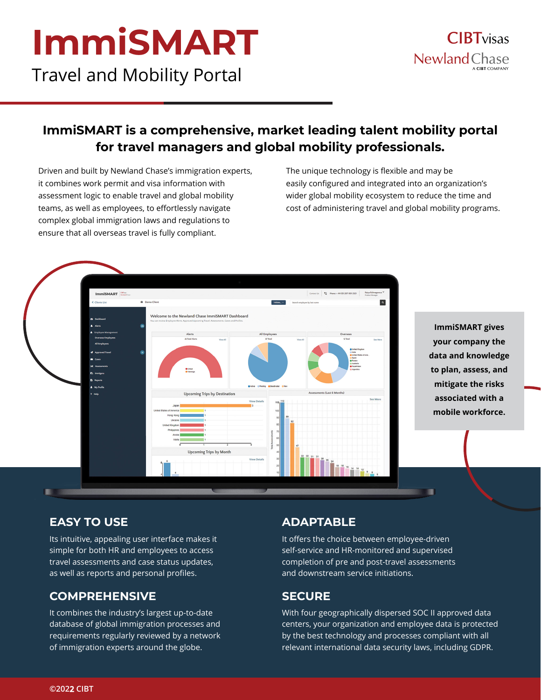# **ImmiSMART** Travel and Mobility Portal

**ImmiSMART is a comprehensive, market leading talent mobility portal for travel managers and global mobility professionals.** 

Driven and built by Newland Chase's immigration experts, it combines work permit and visa information with assessment logic to enable travel and global mobility teams, as well as employees, to effortlessly navigate complex global immigration laws and regulations to ensure that all overseas travel is fully compliant.

The unique technology is flexible and may be easily configured and integrated into an organization's wider global mobility ecosystem to reduce the time and cost of administering travel and global mobility programs.

 $\overline{a}$ 

**ImmiSMART gives your company the data and knowledge to plan, assess, and mitigate the risks associated with a mobile workforce.**

#### **EASY TO USE**

Its intuitive, appealing user interface makes it simple for both HR and employees to access travel assessments and case status updates, as well as reports and personal profiles.

#### **COMPREHENSIVE**

It combines the industry's largest up-to-date database of global immigration processes and requirements regularly reviewed by a network of immigration experts around the globe.

#### **ADAPTABLE**

It offers the choice between employee-driven self-service and HR-monitored and supervised completion of pre and post-travel assessments and downstream service initiations.

#### **SECURE**

With four geographically dispersed SOC II approved data centers, your organization and employee data is protected by the best technology and processes compliant with all relevant international data security laws, including GDPR.





Welcome to the Newland Chase ImmiSMART Dashboard

Upcoming Trips by Destination